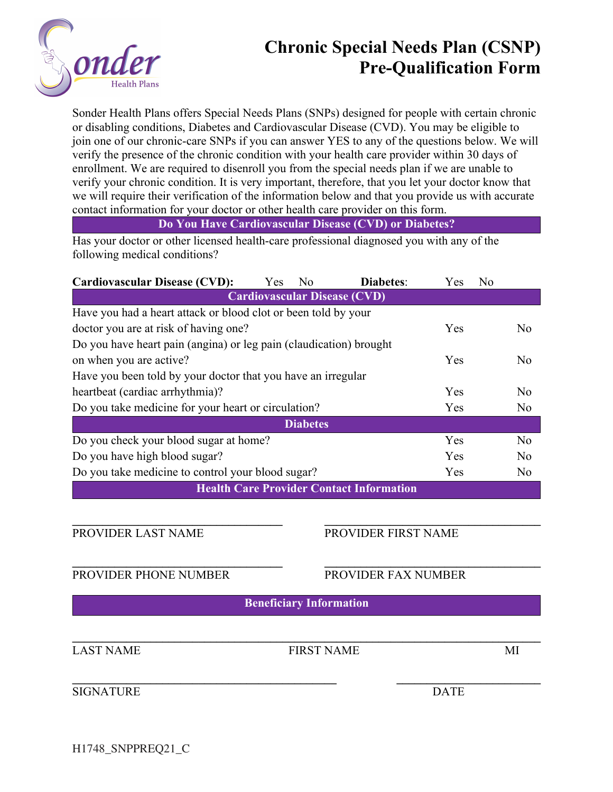

## **Chronic Special Needs Plan (CSNP) Pre-Qualification Form**

Sonder Health Plans offers Special Needs Plans (SNPs) designed for people with certain chronic or disabling conditions, Diabetes and Cardiovascular Disease (CVD). You may be eligible to join one of our chronic-care SNPs if you can answer YES to any of the questions below. We will verify the presence of the chronic condition with your health care provider within 30 days of enrollment. We are required to disenroll you from the special needs plan if we are unable to verify your chronic condition. It is very important, therefore, that you let your doctor know that we will require their verification of the information below and that you provide us with accurate contact information for your doctor or other health care provider on this form.

### **Do You Have Cardiovascular Disease (CVD) or Diabetes?**

Has your doctor or other licensed health-care professional diagnosed you with any of the following medical conditions?

| <b>Cardiovascular Disease (CVD):</b>                               | Yes | N <sub>o</sub> | <b>Diabetes:</b> | Yes            | No             |  |
|--------------------------------------------------------------------|-----|----------------|------------------|----------------|----------------|--|
| <b>Cardiovascular Disease (CVD)</b>                                |     |                |                  |                |                |  |
| Have you had a heart attack or blood clot or been told by your     |     |                |                  |                |                |  |
| doctor you are at risk of having one?                              |     |                |                  | Yes            | N <sub>o</sub> |  |
| Do you have heart pain (angina) or leg pain (claudication) brought |     |                |                  |                |                |  |
| on when you are active?                                            |     |                | Yes              | N <sub>o</sub> |                |  |
| Have you been told by your doctor that you have an irregular       |     |                |                  |                |                |  |
| heartbeat (cardiac arrhythmia)?                                    |     |                |                  | Yes            | N <sub>o</sub> |  |
| Do you take medicine for your heart or circulation?                |     |                | Yes              | N <sub>o</sub> |                |  |
| <b>Diabetes</b>                                                    |     |                |                  |                |                |  |
| Do you check your blood sugar at home?                             |     |                |                  | Yes            | N <sub>o</sub> |  |
| Do you have high blood sugar?                                      |     |                |                  | Yes            | N <sub>o</sub> |  |
| Do you take medicine to control your blood sugar?                  |     |                |                  | Yes            | N <sub>o</sub> |  |
| <b>Health Care Provider Contact Information</b>                    |     |                |                  |                |                |  |

#### **\_\_\_\_\_\_\_\_\_\_\_\_\_\_\_\_\_\_\_\_\_\_\_\_\_\_\_\_\_\_\_\_\_\_\_ \_\_\_\_\_\_\_\_\_\_\_\_\_\_\_\_\_\_\_\_\_\_\_\_\_\_\_\_\_\_\_\_\_\_\_\_** PROVIDER LAST NAME PROVIDER FIRST NAME

PROVIDER PHONE NUMBER PROVIDER FAX NUMBER

**Beneficiary Information**

**\_\_\_\_\_\_\_\_\_\_\_\_\_\_\_\_\_\_\_\_\_\_\_\_\_\_\_\_\_\_\_\_\_\_\_ \_\_\_\_\_\_\_\_\_\_\_\_\_\_\_\_\_\_\_\_\_\_\_\_\_\_\_\_\_\_\_\_\_\_\_\_**

 $\mathcal{L}_\mathcal{L} = \{ \mathcal{L}_\mathcal{L} = \{ \mathcal{L}_\mathcal{L} = \{ \mathcal{L}_\mathcal{L} = \{ \mathcal{L}_\mathcal{L} = \{ \mathcal{L}_\mathcal{L} = \{ \mathcal{L}_\mathcal{L} = \{ \mathcal{L}_\mathcal{L} = \{ \mathcal{L}_\mathcal{L} = \{ \mathcal{L}_\mathcal{L} = \{ \mathcal{L}_\mathcal{L} = \{ \mathcal{L}_\mathcal{L} = \{ \mathcal{L}_\mathcal{L} = \{ \mathcal{L}_\mathcal{L} = \{ \mathcal{L}_\mathcal{$ LAST NAME FIRST NAME MI

**\_\_\_\_\_\_\_\_\_\_\_\_\_\_\_\_\_\_\_\_\_\_\_\_\_\_\_\_\_\_\_\_\_\_\_\_\_\_\_\_\_\_\_\_ \_\_\_\_\_\_\_\_\_\_\_\_\_\_\_\_\_\_\_\_\_\_\_\_** SIGNATURE DATE

H1748\_SNPPREQ21\_C